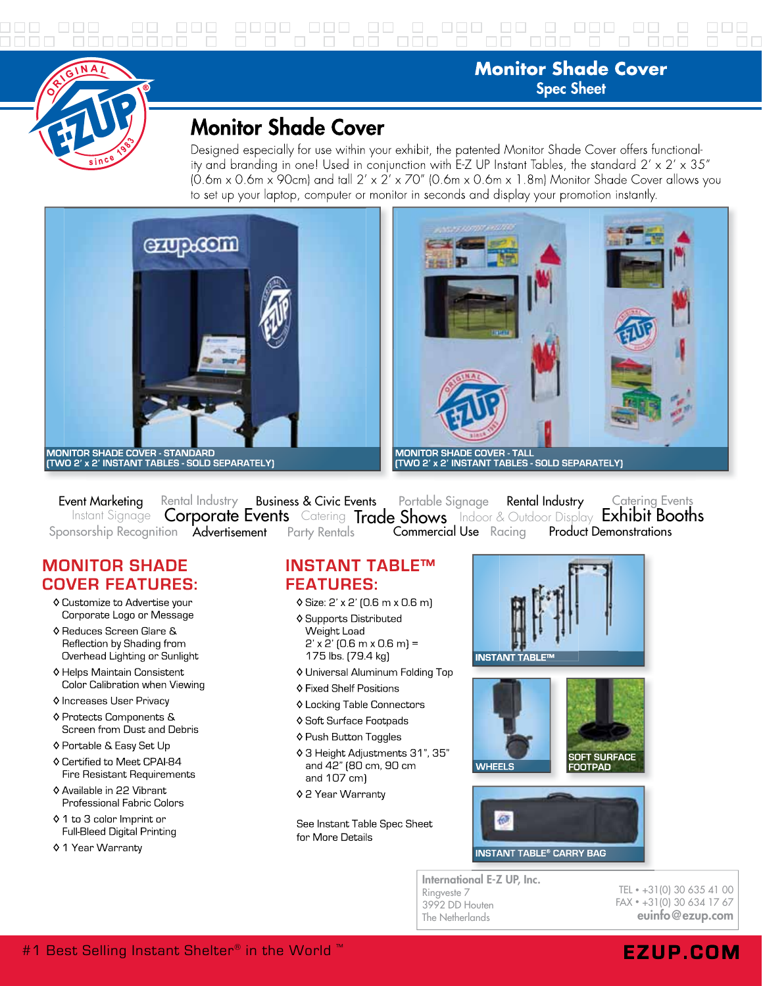

## **Monitor Shade Cover Spec Sheet**

# **Monitor Shade Cover**

Designed especially for use within your exhibit, the patented Monitor Shade Cover offers functionality and branding in one! Used in conjunction with E-Z UP Instant Tables, the standard  $2' \times 2' \times 35''$  $(0.6$ m x 0.6m x 90cm) and tall  $2' \times 2' \times 70''$  (0.6m x 0.6m x 1.8m) Monitor Shade Cover allows you to set up your laptop, computer or monitor in seconds and display your promotion instantly.





Event Marketina Rental Industry Business & Civic Events Portable Signage Rental Industry **Catering Events** Instant Signage Corporate Events Catering Trade Shows Indoor & Outdoor Display Exhibit Booths Sponsorship Recognition Advertisement **Commercial Use** Racing **Product Demonstrations** Party Rentals

### **MONITOR SHADE COVER FEATURES:**

- ♦ Customize to Advertise your Corporate Logo or Message
- ♦ Reduces Screen Glare & Reflection by Shading from Overhead Lighting or Sunlight
- ♦ Helps Maintain Consistent Color Calibration when Viewing
- ♦ Increases User Privacy
- ♦ Protects Components & Screen from Dust and Debris
- ♦ Portable & Easy Set Up
- ♦ Certified to Meet CPAI-84 Fire Resistant Requirements
- ♦ Available in 22 Vibrant Professional Fabric Colors
- ♦ 1 to 3 color Imprint or **Full-Bleed Digital Printing**
- ♦ 1 Year Warranty

#### **INSTANT TABLE™ FEATURES:**

- ♦ Size: 2' x 2' [0.6 m x 0.6 m]
- ♦ Supports Distributed Weight Load  $2'$  x  $2'$  (0.6 m x 0.6 m) = 175 lbs. [79.4 kg]
- ♦ Universal Aluminum Folding Top
- ♦ Fixed Shelf Positions
- ♦ Locking Table Connectors
- ♦ Soft Surface Footpads
- ♦ Push Button Toggles
- ♦ 3 Height Adjustments 31", 35" and 42" (80 cm, 90 cm and 107 cm]
- ♦ 2 Year Warranty

See Instant Table Spec Sheet for More Details







International E-Z UP, Inc. Ringveste 7 3992 DD Houten The Netherlands

TEL · +31(0) 30 635 41 00 FAX · +31(0) 30 634 17 67 evinfo@ezup.com

## #1 Best Selling Instant Shelter® in the World ™

# **EZUP.COM**